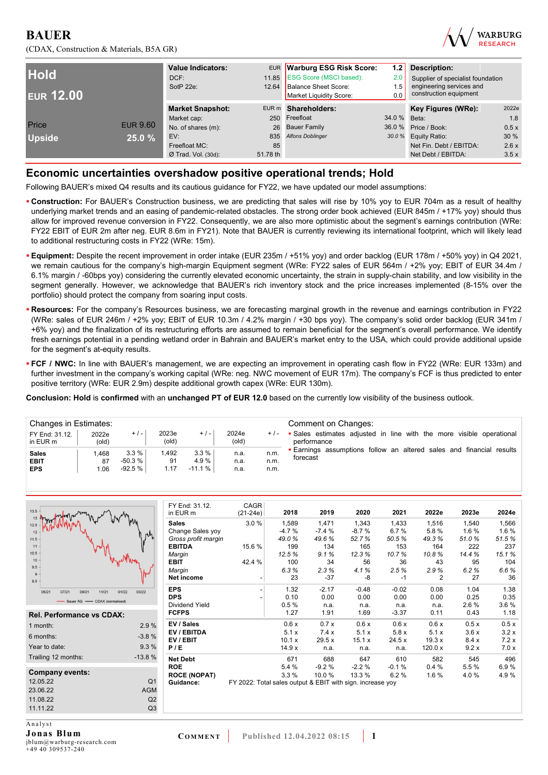



| <b>Hold</b><br><b>EUR 12.00</b> |                 | <b>Value Indicators:</b><br>DCF:<br>SotP 22e: |          | EUR Warburg ESG Risk Score:<br>11.85 ESG Score (MSCI based):<br>12.64 Balance Sheet Score:<br>Market Liquidity Score: | 1.2<br>2.0<br>1.5<br>0.0 |                         |       |
|---------------------------------|-----------------|-----------------------------------------------|----------|-----------------------------------------------------------------------------------------------------------------------|--------------------------|-------------------------|-------|
|                                 |                 | <b>Market Snapshot:</b>                       |          | EUR m Shareholders:                                                                                                   |                          | Key Figures (WRe):      | 2022e |
|                                 |                 | Market cap:                                   |          | 250 Freefloat                                                                                                         | 34.0 % Beta:             |                         | 1.8   |
| Price                           | <b>EUR 9.60</b> | No. of shares (m):                            |          | 26 Bauer Family                                                                                                       |                          | 36.0 % Price / Book:    | 0.5x  |
| <b>Upside</b>                   | 25.0 %          | EV:                                           | 835      | <b>Alfons Doblinger</b>                                                                                               |                          | 30.0 % Equity Ratio:    | 30%   |
|                                 |                 | Freefloat MC:                                 | 85       |                                                                                                                       |                          | Net Fin. Debt / EBITDA: | 2.6x  |
|                                 |                 | $Ø$ Trad. Vol. (30d):                         | 51.78 th |                                                                                                                       |                          | Net Debt / EBITDA:      | 3.5x  |

#### **Economic uncertainties overshadow positive operational trends; Hold**

Following BAUER's mixed Q4 results and its cautious guidance for FY22, we have updated our model assumptions:

- **Construction:** For BAUER's Construction business, we are predicting that sales will rise by 10% yoy to EUR 704m as a result of healthy underlying market trends and an easing of pandemic-related obstacles. The strong order book achieved (EUR 845m / +17% yoy) should thus allow for improved revenue conversion in FY22. Consequently, we are also more optimistic about the segment's earnings contribution (WRe: FY22 EBIT of EUR 2m after neg. EUR 8.6m in FY21). Note that BAUER is currently reviewing its international footprint, which will likely lead to additional restructuring costs in FY22 (WRe: 15m).
- **Equipment:** Despite the recent improvement in order intake (EUR 235m / +51% yoy) and order backlog (EUR 178m / +50% yoy) in Q4 2021, we remain cautious for the company's high-margin Equipment segment (WRe: FY22 sales of EUR 564m / +2% yoy; EBIT of EUR 34.4m / 6.1% margin / -60bps yoy) considering the currently elevated economic uncertainty, the strain in supply-chain stability, and low visibility in the segment generally. However, we acknowledge that BAUER's rich inventory stock and the price increases implemented (8-15% over the portfolio) should protect the company from soaring input costs.
- **Resources:** For the company's Resources business, we are forecasting marginal growth in the revenue and earnings contribution in FY22 (WRe: sales of EUR 246m / +2% yoy; EBIT of EUR 10.3m / 4.2% margin / +30 bps yoy). The company's solid order backlog (EUR 341m / +6% yoy) and the finalization of its restructuring efforts are assumed to remain beneficial for the segment's overall performance. We identify fresh earnings potential in a pending wetland order in Bahrain and BAUER's market entry to the USA, which could provide additional upside for the segment's at-equity results.
- **FCF / NWC:** In line with BAUER's management, we are expecting an improvement in operating cash flow in FY22 (WRe: EUR 133m) and further investment in the company's working capital (WRe: neg. NWC movement of EUR 17m). The company's FCF is thus predicted to enter positive territory (WRe: EUR 2.9m) despite additional growth capex (WRe: EUR 130m).

**Conclusion: Hold** is **confirmed** with an **unchanged PT of EUR 12.0** based on the currently low visibility of the business outlook.

| <b>Changes in Estimates:</b><br>FY End: 31.12.<br>in EUR m | 2022e<br>(old)     | $+/-$                         | 2023e<br>$\left($ old $\right)$ | $+/-$                    | 2024e<br>(old)       | $+/-$                | Comment on Changes:<br>• Sales estimates adjusted in line with the more visible operational<br>performance |
|------------------------------------------------------------|--------------------|-------------------------------|---------------------------------|--------------------------|----------------------|----------------------|------------------------------------------------------------------------------------------------------------|
| <b>Sales</b><br><b>EBIT</b><br><b>EPS</b>                  | .468<br>87<br>1.06 | 3.3%<br>-50.3 %  <br>$-92.5%$ | .492<br>91<br>1.17              | 3.3%<br>4.9%<br>$-11.1%$ | n.a.<br>n.a.<br>n.a. | n.m.<br>n.m.<br>n.m. | <b>Earnings assumptions follow an altered sales and financial results</b><br>forecast                      |

| $13.5 -$<br>13<br>12.5<br>12                                                                                     | FY End: 31.12.<br>in EUR m<br><b>Sales</b><br>Change Sales yoy                                                                                    | CAGR<br>$(21-24e)$<br>3.0%                                 | 2018<br>1,589<br>$-4.7%$                   | 2019<br>1.471<br>$-7.4%$                    | 2020<br>1,343<br>$-8.7%$                    | 2021<br>1,433<br>6.7%                     | 2022e<br>1,516<br>5.8%                   | 2023e<br>1,540<br>1.6 %                   | 2024e<br>1,566<br>1.6 %                    |
|------------------------------------------------------------------------------------------------------------------|---------------------------------------------------------------------------------------------------------------------------------------------------|------------------------------------------------------------|--------------------------------------------|---------------------------------------------|---------------------------------------------|-------------------------------------------|------------------------------------------|-------------------------------------------|--------------------------------------------|
| 11.5<br>$11 -$<br>$10.5 -$<br>$10 -$<br>$9.5 -$<br>$9 -$<br>$8.5 -$                                              | Gross profit margin<br><b>EBITDA</b><br>Margin<br><b>EBIT</b><br>Margin<br>Net income                                                             | 15.6%<br>42.4 %                                            | 49.0%<br>199<br>12.5%<br>100<br>6.3%<br>23 | 49.6%<br>134<br>9.1%<br>34<br>2.3%<br>$-37$ | 52.7%<br>165<br>12.3%<br>56<br>4.1%<br>$-8$ | 50.5%<br>153<br>10.7%<br>36<br>2.5%<br>-1 | 49.3%<br>164<br>10.8%<br>43<br>2.9%<br>2 | 51.0%<br>222<br>14.4%<br>95<br>6.2%<br>27 | 51.5%<br>237<br>15.1%<br>104<br>6.6%<br>36 |
| 11/21<br>05/21<br>07/21<br>09/21<br>01/22<br>- CDAX (normalised)<br>Bauer AG<br><b>Rel. Performance vs CDAX:</b> | <b>EPS</b><br>03/22<br><b>DPS</b><br><b>Dividend Yield</b><br><b>FCFPS</b>                                                                        |                                                            | 1.32<br>0.10<br>0.5%<br>1.27               | $-2.17$<br>0.00<br>n.a.<br>1.91             | $-0.48$<br>0.00<br>n.a.<br>1.69             | $-0.02$<br>0.00<br>n.a.<br>$-3.37$        | 0.08<br>0.00<br>n.a.<br>0.11             | 1.04<br>0.25<br>2.6%<br>0.43              | 1.38<br>0.35<br>3.6%<br>1.18               |
| 1 month:<br>6 months:<br>Year to date:                                                                           | EV / Sales<br>2.9%<br>EV / EBITDA<br>$-3.8%$<br>EV / EBIT<br>9.3%<br>P/E                                                                          |                                                            | 0.6x<br>5.1x<br>10.1 x<br>14.9x            | 0.7x<br>7.4x<br>29.5x<br>n.a.               | 0.6x<br>5.1x<br>15.1 x<br>n.a.              | 0.6x<br>5.8x<br>24.5x<br>n.a.             | 0.6x<br>5.1x<br>19.3x<br>120.0 $x$       | 0.5x<br>3.6x<br>8.4x<br>9.2x              | 0.5x<br>3.2x<br>7.2x<br>7.0x               |
| Trailing 12 months:<br><b>Company events:</b><br>12.05.22<br>23.06.22<br>11.08.22<br>11.11.22                    | $-13.8%$<br><b>Net Debt</b><br><b>ROE</b><br><b>ROCE (NOPAT)</b><br>Q <sub>1</sub><br>Guidance:<br><b>AGM</b><br>Q <sub>2</sub><br>Q <sub>3</sub> | FY 2022: Total sales output & EBIT with sign. increase yoy | 671<br>5.4 %<br>3.3%                       | 688<br>$-9.2%$<br>10.0%                     | 647<br>$-2.2%$<br>13.3 %                    | 610<br>$-0.1%$<br>6.2%                    | 582<br>0.4%<br>1.6%                      | 545<br>5.5%<br>4.0%                       | 496<br>6.9%<br>4.9%                        |

Analyst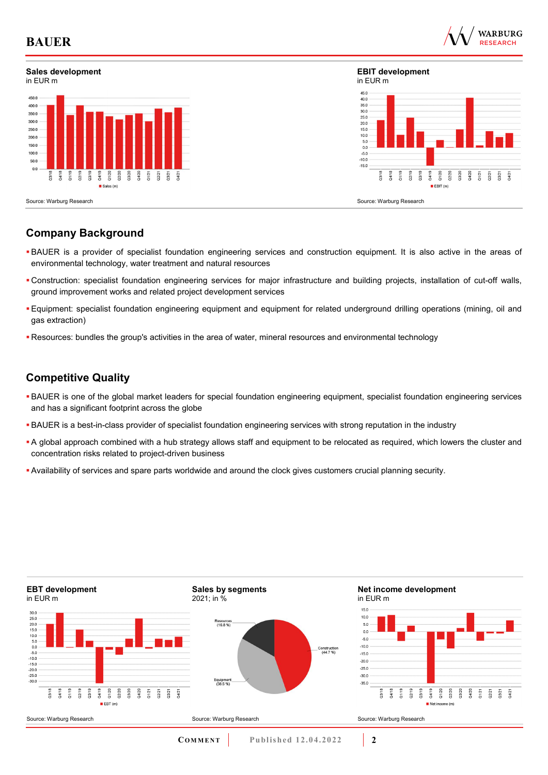

### **Sales development**



**EBIT development** in EUR m



Source: Warburg Research

### **Company Background**

- BAUER is a provider of specialist foundation engineering services and construction equipment. It is also active in the areas of environmental technology, water treatment and natural resources
- Construction: specialist foundation engineering services for major infrastructure and building projects, installation of cut-off walls, ground improvement works and related project development services
- Equipment: specialist foundation engineering equipment and equipment for related underground drilling operations (mining, oil and gas extraction)
- Resources: bundles the group's activities in the area of water, mineral resources and environmental technology

### **Competitive Quality**

- BAUER is one of the global market leaders for special foundation engineering equipment, specialist foundation engineering services and has a significant footprint across the globe
- BAUER is a best-in-class provider of specialist foundation engineering services with strong reputation in the industry
- A global approach combined with a hub strategy allows staff and equipment to be relocated as required, which lowers the cluster and concentration risks related to project-driven business
- Availability of services and spare parts worldwide and around the clock gives customers crucial planning security.

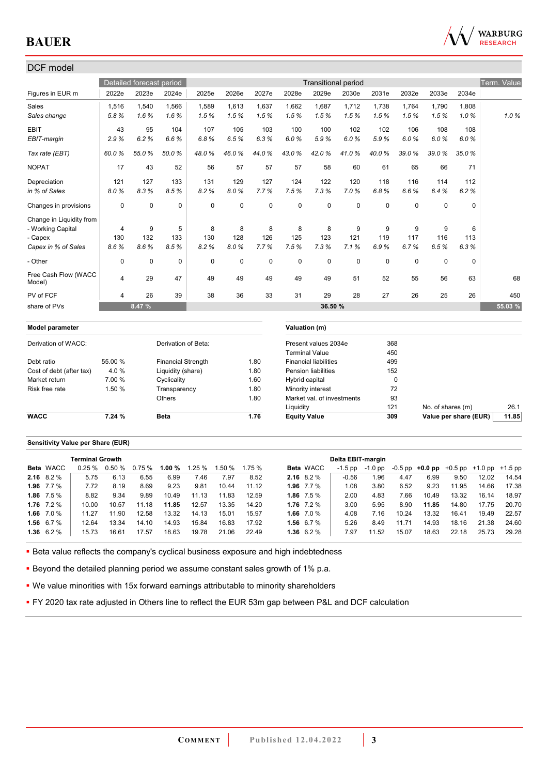

### DCF model Detailed forecast period **Transitional period** Transitional period Term. Value Figures in EUR m 2022e 2023e 2024e 2025e 2026e 2027e 2028e 2029e 2030e 2031e 2032e 2033e 2034e Sales 1,516 1,540 1,566 1,589 1,613 1,637 1,662 1,687 1,712 1,738 1,764 1,790 1,808 *Sales change 5.8 % 1.6 % 1.6 % 1.5 % 1.5 % 1.5 % 1.5 % 1.5 % 1.5 % 1.5 % 1.5 % 1.5 % 1.0 % 1.0 %* EBIT 43 95 104 107 105 103 100 100 102 102 106 108 108 *EBIT-margin 2.9 % 6.2 % 6.6 % 6.8 % 6.5 % 6.3 % 6.0 % 5.9 % 6.0 % 5.9 % 6.0 % 6.0 % 6.0 % Tax rate (EBT) 60.0 % 55.0 % 50.0 % 48.0 % 46.0 % 44.0 % 43.0 % 42.0 % 41.0 % 40.0 % 39.0 % 39.0 % 35.0 %*  NOPAT 17 43 52 56 57 57 57 58 60 61 65 66 71 Depreciation 121 127 133 131 129 127 124 122 120 118 116 114 112 *in % of Sales 8.0 % 8.3 % 8.5 % 8.2 % 8.0 % 7.7 % 7.5 % 7.3 % 7.0 % 6.8 % 6.6 % 6.4 % 6.2 %*  Changes in provisions 0 0 0 0 0 0 0 0 0 0 0 0 0 Change in Liquidity from - Working Capital 4 9 5 8 8 8 8 8 9 9 9 9 6 - Capex 130 132 133 130 128 126 125 123 121 119 117 116 113 *Capex in % of Sales 8.6 % 8.6 % 8.5 % 8.2 % 8.0 % 7.7 % 7.5 % 7.3 % 7.1 % 6.9 % 6.7 % 6.5 % 6.3 %*  - Other 0 0 0 0 0 0 0 0 0 0 0 0 0 Free Cash Flow (WACC 1100 0d3n1110w (w/nOO = 4 = 29 = 47 = 49 = 49 = 49 = 49 = 49 = 51 = 52 = 55 = 56 = 63 = 68<br>Model) PV of FCF 4 26 39 38 36 33 31 29 28 27 26 25 26 450 share of PVs **8.47 % 36.50 % 55.03 % Model parameter Valuation (m)** Derivation of WACC: Derivation of Beta: Present values 2034e 368 Terminal Value 450 Debt ratio **55.00 %** Financial Strength 1.80 Financial liabilities 499 Cost of debt (after tax)  $4.0\%$  Liquidity (share) 1.80 Pension liabilities 152 Market return 7.00 % Cyclicality 1.60 Hybrid capital 0 Risk free rate 1.50 % Transparency 1.80 Minority interest 72<br>Chers 1.80 Market val. of investments 93 Others 1.80 Market val. of investments Liquidity 121 No. of shares (m) 26.1 **WACC 7.24 % Beta** 1.76 **Equity Value 309 Value per share (EUR)** 11.85

#### **Sensitivity Value per Share (EUR)**

|                    | <b>Terminal Growth</b> |                 |        |          |       |        |          |              |                  | Delta EBIT-margin |         |       |                                                   |       |       |       |
|--------------------|------------------------|-----------------|--------|----------|-------|--------|----------|--------------|------------------|-------------------|---------|-------|---------------------------------------------------|-------|-------|-------|
| <b>Beta</b> WACC   |                        | $0.25\%$ 0.50 % | 0.75 % | 1.00 $%$ | 1.25% | 1.50 % | $1.75\%$ |              | <b>Beta WACC</b> | -1.5 pp           | -1.0 pp |       | $-0.5$ pp $+0.0$ pp $+0.5$ pp $+1.0$ pp $+1.5$ pp |       |       |       |
| 2.16 $8.2\%$       | 5.75                   | 6.13            | 6.55   | 6.99     | 7.46  | 7.97   | 8.52     | 2.16 $8.2\%$ |                  | $-0.56$           | .96     | 4.47  | 6.99                                              | 9.50  | 12.02 | 14.54 |
| 1.96 $7.7\%$       | 7.72                   | 8.19            | 8.69   | 9.23     | 9.81  | 10.44  | 11.12    |              | 1.96 $7.7\%$     | 1.08              | 3.80    | 6.52  | 9.23                                              | 11.95 | 14.66 | 17.38 |
| 1.86 $7.5\%$       | 8.82                   | 9.34            | 9.89   | 10.49    | 11.13 | 11.83  | 12.59    | 1.86 $7.5\%$ |                  | 2.00              | 4.83    | 7.66  | 10.49                                             | 13.32 | 16.14 | 18.97 |
| $1.76$ $7.2\%$     | 10.00                  | 10.57           | 11.18  | 11.85    | 12.57 | 13.35  | 14.20    | 1.76 $7.2\%$ |                  | 3.00              | 5.95    | 8.90  | 11.85                                             | 14.80 | 17.75 | 20.70 |
| 1.66 7.0 %         | 11.27                  | 11.90           | 12.58  | 13.32    | 14.13 | 15.01  | 15.97    |              | 1.66 $7.0\%$     | 4.08              | 7.16    | 10.24 | 13.32                                             | 16.41 | 19.49 | 22.57 |
| 1.56 $6.7%$        | 12.64                  | 13.34           | 14.10  | 14.93    | 15.84 | 16.83  | 17.92    | 1.56 $6.7%$  |                  | 5.26              | 8.49    | 11.71 | 14.93                                             | 18.16 | 21.38 | 24.60 |
| $1.36 \quad 6.2\%$ | 15.73                  | 16.61           | 17.57  | 18.63    | 19.78 | 21.06  | 22.49    | 1.36 $6.2\%$ |                  | 7.97              | 11.52   | 15.07 | 18.63                                             | 22.18 | 25.73 | 29.28 |

**Beta value reflects the company's cyclical business exposure and high indebtedness** 

**Beyond the detailed planning period we assume constant sales growth of 1% p.a.** 

We value minorities with 15x forward earnings attributable to minority shareholders

**FY 2020 tax rate adjusted in Others line to reflect the EUR 53m gap between P&L and DCF calculation**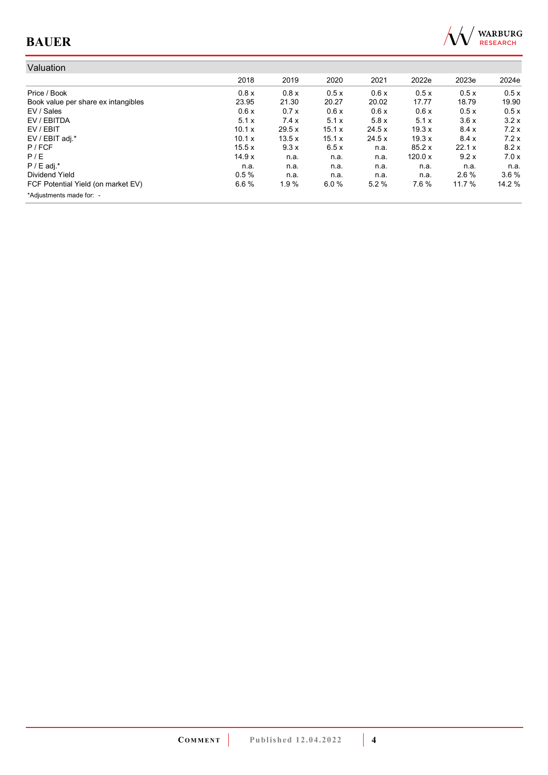

| Valuation                           |        |       |        |        |         |         |         |
|-------------------------------------|--------|-------|--------|--------|---------|---------|---------|
|                                     | 2018   | 2019  | 2020   | 2021   | 2022e   | 2023e   | 2024e   |
| Price / Book                        | 0.8x   | 0.8x  | 0.5x   | 0.6x   | 0.5x    | 0.5x    | 0.5x    |
| Book value per share ex intangibles | 23.95  | 21.30 | 20.27  | 20.02  | 17.77   | 18.79   | 19.90   |
| EV / Sales                          | 0.6x   | 0.7x  | 0.6x   | 0.6x   | 0.6x    | 0.5x    | 0.5x    |
| EV / EBITDA                         | 5.1x   | 7.4x  | 5.1x   | 5.8x   | 5.1x    | 3.6x    | 3.2x    |
| EV / EBIT                           | 10.1 x | 29.5x | 15.1 x | 24.5 x | 19.3x   | 8.4x    | 7.2x    |
| EV / EBIT adj.*                     | 10.1 x | 13.5x | 15.1x  | 24.5x  | 19.3x   | 8.4x    | 7.2x    |
| $P$ / FCF                           | 15.5x  | 9.3x  | 6.5x   | n.a.   | 85.2x   | 22.1x   | 8.2x    |
| P/E                                 | 14.9x  | n.a.  | n.a.   | n.a.   | 120.0 x | 9.2x    | 7.0x    |
| $P / E$ adj.*                       | n.a.   | n.a.  | n.a.   | n.a.   | n.a.    | n.a.    | n.a.    |
| Dividend Yield                      | 0.5%   | n.a.  | n.a.   | n.a.   | n.a.    | $2.6\%$ | $3.6\%$ |
| FCF Potential Yield (on market EV)  | 6.6%   | 1.9%  | 6.0%   | 5.2%   | 7.6%    | 11.7 %  | 14.2 %  |
| *Adjustments made for: -            |        |       |        |        |         |         |         |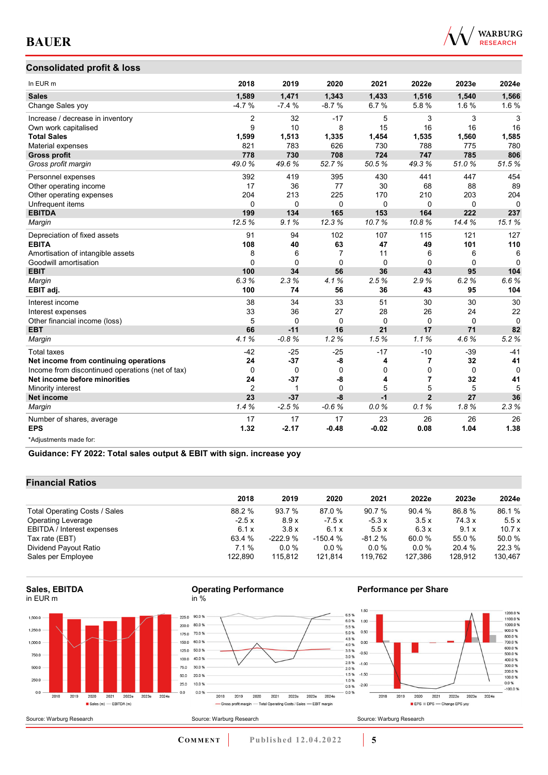

#### **Consolidated profit & loss**

| In EUR m                                         | 2018           | 2019     | 2020           | 2021         | 2022e          | 2023e       | 2024e    |
|--------------------------------------------------|----------------|----------|----------------|--------------|----------------|-------------|----------|
| <b>Sales</b>                                     | 1,589          | 1,471    | 1,343          | 1,433        | 1,516          | 1,540       | 1,566    |
| Change Sales yoy                                 | $-4.7%$        | $-7.4%$  | $-8.7%$        | 6.7%         | 5.8%           | 1.6%        | 1.6%     |
| Increase / decrease in inventory                 | 2              | 32       | $-17$          | 5            | 3              | 3           | 3        |
| Own work capitalised                             | 9              | 10       | 8              | 15           | 16             | 16          | 16       |
| <b>Total Sales</b>                               | 1,599          | 1,513    | 1,335          | 1,454        | 1,535          | 1,560       | 1,585    |
| Material expenses                                | 821            | 783      | 626            | 730          | 788            | 775         | 780      |
| <b>Gross profit</b>                              | 778            | 730      | 708            | 724          | 747            | 785         | 806      |
| Gross profit margin                              | 49.0%          | 49.6%    | 52.7%          | 50.5%        | 49.3%          | 51.0%       | 51.5%    |
| Personnel expenses                               | 392            | 419      | 395            | 430          | 441            | 447         | 454      |
| Other operating income                           | 17             | 36       | 77             | 30           | 68             | 88          | 89       |
| Other operating expenses                         | 204            | 213      | 225            | 170          | 210            | 203         | 204      |
| Unfrequent items                                 | 0              | $\Omega$ | $\mathbf 0$    | 0            | 0              | $\Omega$    | 0        |
| <b>EBITDA</b>                                    | 199            | 134      | 165            | 153          | 164            | 222         | 237      |
| Margin                                           | 12.5%          | 9.1%     | 12.3%          | 10.7%        | 10.8%          | 14.4%       | 15.1%    |
| Depreciation of fixed assets                     | 91             | 94       | 102            | 107          | 115            | 121         | 127      |
| <b>EBITA</b>                                     | 108            | 40       | 63             | 47           | 49             | 101         | 110      |
| Amortisation of intangible assets                | 8              | 6        | $\overline{7}$ | 11           | 6              | 6           | 6        |
| Goodwill amortisation                            | $\Omega$       | $\Omega$ | $\Omega$       | $\mathbf{0}$ | $\Omega$       | $\Omega$    | $\Omega$ |
| <b>EBIT</b>                                      | 100            | 34       | 56             | 36           | 43             | 95          | 104      |
| Margin                                           | 6.3%           | 2.3%     | 4.1%           | 2.5%         | 2.9%           | 6.2%        | 6.6%     |
| EBIT adj.                                        | 100            | 74       | 56             | 36           | 43             | 95          | 104      |
| Interest income                                  | 38             | 34       | 33             | 51           | 30             | 30          | 30       |
| Interest expenses                                | 33             | 36       | 27             | 28           | 26             | 24          | 22       |
| Other financial income (loss)                    | 5              | $\Omega$ | $\Omega$       | $\mathbf 0$  | $\Omega$       | $\Omega$    | $\Omega$ |
| <b>EBT</b>                                       | 66             | $-11$    | 16             | 21           | 17             | 71          | 82       |
| Margin                                           | 4.1%           | $-0.8%$  | 1.2%           | 1.5%         | 1.1%           | 4.6%        | 5.2%     |
| <b>Total taxes</b>                               | $-42$          | $-25$    | $-25$          | $-17$        | $-10$          | $-39$       | $-41$    |
| Net income from continuing operations            | 24             | $-37$    | -8             | 4            | 7              | 32          | 41       |
| Income from discontinued operations (net of tax) | 0              | 0        | $\mathbf 0$    | 0            | 0              | $\mathbf 0$ | $\Omega$ |
| Net income before minorities                     | 24             | $-37$    | -8             | 4            | 7              | 32          | 41       |
| Minority interest                                | $\overline{2}$ | 1        | $\Omega$       | 5            | 5              | 5           | 5        |
| Net income                                       | 23             | $-37$    | $-8$           | $-1$         | $\overline{2}$ | 27          | 36       |
| Margin                                           | 1.4%           | $-2.5%$  | $-0.6%$        | 0.0%         | 0.1%           | 1.8%        | 2.3%     |
| Number of shares, average                        | 17             | 17       | 17             | 23           | 26             | 26          | 26       |
| <b>EPS</b>                                       | 1.32           | $-2.17$  | $-0.48$        | $-0.02$      | 0.08           | 1.04        | 1.38     |
| *Adiustments made for:                           |                |          |                |              |                |             |          |

**Guidance: FY 2022: Total sales output & EBIT with sign. increase yoy**

#### **Financial Ratios**

|                               | 2018    | 2019      | 2020      | 2021     | 2022e   | 2023e   | 2024e   |
|-------------------------------|---------|-----------|-----------|----------|---------|---------|---------|
|                               |         |           |           |          |         |         |         |
| Total Operating Costs / Sales | 88.2 %  | 93.7 %    | 87.0 %    | 90.7 %   | 90.4 %  | 86.8%   | 86.1%   |
| Operating Leverage            | $-2.5x$ | 8.9x      | $-7.5x$   | $-5.3x$  | 3.5x    | 74.3 x  | 5.5x    |
| EBITDA / Interest expenses    | 6.1x    | 3.8x      | 6.1x      | 5.5x     | 6.3x    | 9.1x    | 10.7x   |
| Tax rate (EBT)                | 63.4 %  | $-222.9%$ | $-150.4%$ | $-81.2%$ | 60.0 %  | 55.0 %  | 50.0 %  |
| Dividend Payout Ratio         | $7.1\%$ | $0.0\%$   | $0.0\%$   | $0.0\%$  | 0.0%    | 20.4 %  | 22.3 %  |
| Sales per Employee            | 122.890 | 115.812   | 121.814   | 119.762  | 127.386 | 128.912 | 130,467 |

#### **Sales, EBITDA** in EUR m





0.0%



#### **Performance per Share**



2018 2019 2020 2021 2022e 2023e 2024e

- Gross profit margin - Total Operating Costs / Sales - EBIT margin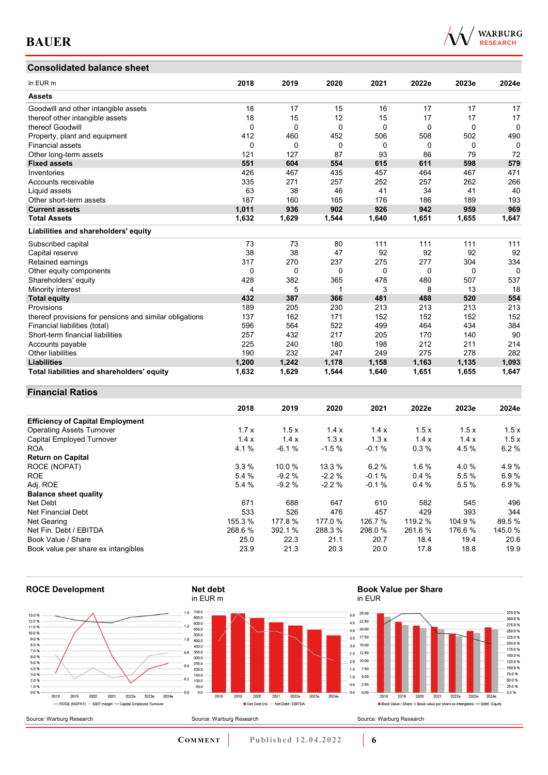### **Consolidated balance sheet**

|  | WARRURG<br><b>RESEARCH</b> |
|--|----------------------------|
|  |                            |

| In EUR <sub>m</sub>                                     | 2018     | 2019  | 2020     | 2021  | 2022e    | 2023e    | 2024e    |
|---------------------------------------------------------|----------|-------|----------|-------|----------|----------|----------|
| <b>Assets</b>                                           |          |       |          |       |          |          |          |
| Goodwill and other intangible assets                    | 18       | 17    | 15       | 16    | 17       | 17       | 17       |
| thereof other intangible assets                         | 18       | 15    | 12       | 15    | 17       | 17       | 17       |
| thereof Goodwill                                        | $\Omega$ | 0     | $\Omega$ | 0     | $\Omega$ | $\Omega$ | $\Omega$ |
| Property, plant and equipment                           | 412      | 460   | 452      | 506   | 508      | 502      | 490      |
| <b>Financial assets</b>                                 | 0        | 0     | 0        | 0     | 0        | 0        | $\Omega$ |
| Other long-term assets                                  | 121      | 127   | 87       | 93    | 86       | 79       | 72       |
| <b>Fixed assets</b>                                     | 551      | 604   | 554      | 615   | 611      | 598      | 579      |
| Inventories                                             | 426      | 467   | 435      | 457   | 464      | 467      | 471      |
| Accounts receivable                                     | 335      | 271   | 257      | 252   | 257      | 262      | 266      |
| Liquid assets                                           | 63       | 38    | 46       | 41    | 34       | 41       | 40       |
| Other short-term assets                                 | 187      | 160   | 165      | 176   | 186      | 189      | 193      |
| <b>Current assets</b>                                   | 1,011    | 936   | 902      | 926   | 942      | 959      | 969      |
| <b>Total Assets</b>                                     | 1,632    | 1,629 | 1,544    | 1,640 | 1,651    | 1,655    | 1,647    |
| Liabilities and shareholders' equity                    |          |       |          |       |          |          |          |
| Subscribed capital                                      | 73       | 73    | 80       | 111   | 111      | 111      | 111      |
| Capital reserve                                         | 38       | 38    | 47       | 92    | 92       | 92       | 92       |
| Retained earnings                                       | 317      | 270   | 237      | 275   | 277      | 304      | 334      |
| Other equity components                                 | 0        | 0     | 0        | 0     | $\Omega$ | 0        | $\Omega$ |
| Shareholders' equity                                    | 428      | 382   | 365      | 478   | 480      | 507      | 537      |
| Minority interest                                       | 4        | 5     |          | 3     | 8        | 13       | 18       |
| <b>Total equity</b>                                     | 432      | 387   | 366      | 481   | 488      | 520      | 554      |
| Provisions                                              | 189      | 205   | 230      | 213   | 213      | 213      | 213      |
| thereof provisions for pensions and similar obligations | 137      | 162   | 171      | 152   | 152      | 152      | 152      |
| Financial liabilities (total)                           | 596      | 564   | 522      | 499   | 464      | 434      | 384      |
| Short-term financial liabilities                        | 257      | 432   | 217      | 205   | 170      | 140      | 90       |
| Accounts payable                                        | 225      | 240   | 180      | 198   | 212      | 211      | 214      |
| <b>Other liabilities</b>                                | 190      | 232   | 247      | 249   | 275      | 278      | 282      |
| <b>Liabilities</b>                                      | 1,200    | 1,242 | 1,178    | 1,158 | 1,163    | 1,135    | 1,093    |
| Total liabilities and shareholders' equity              | 1,632    | 1,629 | 1,544    | 1,640 | 1,651    | 1,655    | 1,647    |

#### **Financial Ratios**

|                                         | 2018    | 2019    | 2020    | 2021    | 2022e   | 2023e  | 2024e  |
|-----------------------------------------|---------|---------|---------|---------|---------|--------|--------|
| <b>Efficiency of Capital Employment</b> |         |         |         |         |         |        |        |
| <b>Operating Assets Turnover</b>        | 1.7x    | 1.5x    | 1.4x    | 1.4x    | 1.5x    | 1.5x   | 1.5x   |
| Capital Employed Turnover               | 1.4x    | 1.4x    | 1.3x    | 1.3x    | 1.4x    | 1.4x   | 1.5x   |
| <b>ROA</b>                              | 4.1%    | $-6.1%$ | $-1.5%$ | $-0.1%$ | 0.3%    | 4.5%   | 6.2%   |
| <b>Return on Capital</b>                |         |         |         |         |         |        |        |
| ROCE (NOPAT)                            | 3.3%    | 10.0 %  | 13.3 %  | 6.2%    | 1.6%    | 4.0%   | 4.9%   |
| <b>ROE</b>                              | 5.4 %   | $-9.2%$ | $-2.2%$ | $-0.1%$ | 0.4%    | 5.5 %  | 6.9%   |
| Adj. ROE                                | 5.4 %   | $-9.2%$ | $-2.2%$ | $-0.1%$ | 0.4%    | 5.5%   | 6.9%   |
| <b>Balance sheet quality</b>            |         |         |         |         |         |        |        |
| Net Debt                                | 671     | 688     | 647     | 610     | 582     | 545    | 496    |
| Net Financial Debt                      | 533     | 526     | 476     | 457     | 429     | 393    | 344    |
| Net Gearing                             | 155.3 % | 177.8 % | 177.0 % | 126.7 % | 119.2 % | 104.9% | 89.5 % |
| Net Fin. Debt / EBITDA                  | 268.6 % | 392.1 % | 288.3 % | 298.0 % | 261.6 % | 176.6% | 145.0% |
| Book Value / Share                      | 25.0    | 22.3    | 21.1    | 20.7    | 18.4    | 19.4   | 20.6   |
| Book value per share ex intangibles     | 23.9    | 21.3    | 20.3    | 20.0    | 17.8    | 18.8   | 19.9   |



# **Book Value per Share**



**COMMENT** Published 12.04.2022 **6**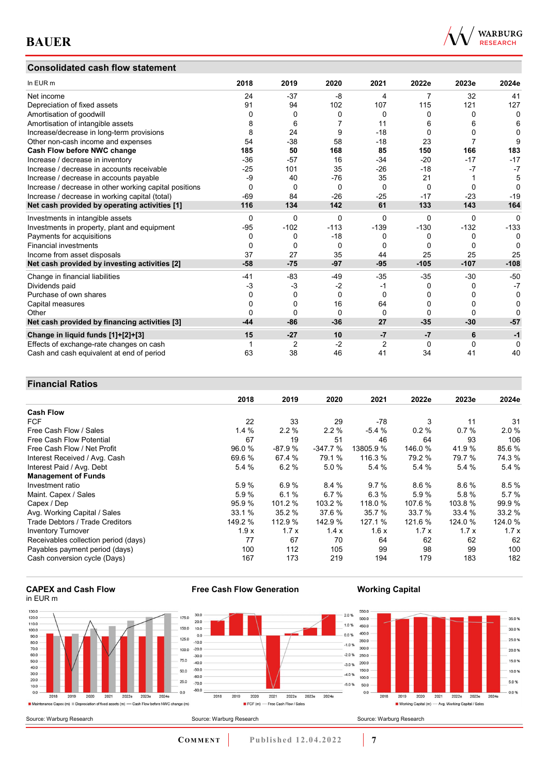#### **Consolidated cash flow statement**



| In EUR m                                               | 2018     | 2019   | 2020     | 2021           | 2022e    | 2023e    | 2024e    |
|--------------------------------------------------------|----------|--------|----------|----------------|----------|----------|----------|
| Net income                                             | 24       | $-37$  | -8       | 4              | 7        | 32       | 41       |
| Depreciation of fixed assets                           | 91       | 94     | 102      | 107            | 115      | 121      | 127      |
| Amortisation of goodwill                               | 0        | 0      | 0        | 0              | 0        | 0        | 0        |
| Amortisation of intangible assets                      | 8        | 6      |          | 11             | 6        | 6        | 6        |
| Increase/decrease in long-term provisions              | 8        | 24     | 9        | $-18$          | 0        | ŋ        | 0        |
| Other non-cash income and expenses                     | 54       | $-38$  | 58       | $-18$          | 23       |          | 9        |
| Cash Flow before NWC change                            | 185      | 50     | 168      | 85             | 150      | 166      | 183      |
| Increase / decrease in inventory                       | $-36$    | $-57$  | 16       | $-34$          | $-20$    | $-17$    | $-17$    |
| Increase / decrease in accounts receivable             | $-25$    | 101    | 35       | $-26$          | $-18$    | -7       | $-7$     |
| Increase / decrease in accounts payable                | -9       | 40     | $-76$    | 35             | 21       |          | 5        |
| Increase / decrease in other working capital positions | $\Omega$ | 0      | $\Omega$ | $\Omega$       | $\Omega$ | $\Omega$ | $\Omega$ |
| Increase / decrease in working capital (total)         | $-69$    | 84     | $-26$    | $-25$          | $-17$    | $-23$    | $-19$    |
| Net cash provided by operating activities [1]          | 116      | 134    | 142      | 61             | 133      | 143      | 164      |
| Investments in intangible assets                       | $\Omega$ | 0      | 0        | 0              | $\Omega$ | $\Omega$ | $\Omega$ |
| Investments in property, plant and equipment           | $-95$    | $-102$ | $-113$   | $-139$         | $-130$   | $-132$   | $-133$   |
| Payments for acquisitions                              | 0        | 0      | $-18$    | 0              | 0        | 0        | $\Omega$ |
| <b>Financial investments</b>                           | 0        | 0      | 0        | 0              | 0        | $\Omega$ | O        |
| Income from asset disposals                            | 37       | 27     | 35       | 44             | 25       | 25       | 25       |
| Net cash provided by investing activities [2]          | $-58$    | $-75$  | $-97$    | $-95$          | $-105$   | $-107$   | $-108$   |
| Change in financial liabilities                        | -41      | $-83$  | -49      | $-35$          | $-35$    | $-30$    | $-50$    |
| Dividends paid                                         | $-3$     | $-3$   | $-2$     | -1             | 0        | 0        | $-7$     |
| Purchase of own shares                                 | $\Omega$ | 0      | $\Omega$ | 0              | 0        | O        | 0        |
| Capital measures                                       | O        | 0      | 16       | 64             | 0        |          | 0        |
| Other                                                  |          | 0      | 0        | 0              | 0        | 0        | 0        |
| Net cash provided by financing activities [3]          | $-44$    | $-86$  | $-36$    | 27             | $-35$    | $-30$    | $-57$    |
| Change in liquid funds [1]+[2]+[3]                     | 15       | $-27$  | 10       | $-7$           | $-7$     | 6        | $-1$     |
| Effects of exchange-rate changes on cash               |          | 2      | $-2$     | $\overline{2}$ | 0        | $\Omega$ | $\Omega$ |
| Cash and cash equivalent at end of period              | 63       | 38     | 46       | 41             | 34       | 41       | 40       |

#### **Financial Ratios**

|                                      | 2018    | 2019     | 2020      | 2021      | 2022e   | 2023e   | 2024e   |
|--------------------------------------|---------|----------|-----------|-----------|---------|---------|---------|
| <b>Cash Flow</b>                     |         |          |           |           |         |         |         |
| <b>FCF</b>                           | 22      | 33       | 29        | -78       | 3       | 11      | 31      |
| Free Cash Flow / Sales               | 1.4%    | 2.2%     | $2.2\%$   | $-5.4%$   | 0.2%    | 0.7%    | 2.0%    |
| Free Cash Flow Potential             | 67      | 19       | 51        | 46        | 64      | 93      | 106     |
| Free Cash Flow / Net Profit          | 96.0 %  | $-87.9%$ | $-347.7%$ | 13805.9 % | 146.0 % | 41.9%   | 85.6%   |
| Interest Received / Avg. Cash        | 69.6 %  | 67.4 %   | 79.1 %    | 116.3 %   | 79.2 %  | 79.7 %  | 74.3 %  |
| Interest Paid / Avg. Debt            | 5.4 %   | 6.2%     | 5.0%      | 5.4 %     | 5.4%    | 5.4 %   | 5.4 %   |
| <b>Management of Funds</b>           |         |          |           |           |         |         |         |
| Investment ratio                     | 5.9%    | 6.9%     | 8.4%      | 9.7%      | 8.6%    | 8.6%    | 8.5%    |
| Maint. Capex / Sales                 | 5.9%    | 6.1%     | 6.7%      | 6.3%      | 5.9%    | 5.8%    | 5.7%    |
| Capex / Dep                          | 95.9 %  | 101.2 %  | 103.2 %   | 118.0 %   | 107.6 % | 103.8 % | 99.9%   |
| Avg. Working Capital / Sales         | 33.1%   | 35.2 %   | 37.6 %    | 35.7 %    | 33.7 %  | 33.4 %  | 33.2 %  |
| Trade Debtors / Trade Creditors      | 149.2 % | 112.9 %  | 142.9 %   | 127.1 %   | 121.6 % | 124.0 % | 124.0 % |
| <b>Inventory Turnover</b>            | 1.9x    | 1.7x     | 1.4x      | 1.6x      | 1.7x    | 1.7x    | 1.7x    |
| Receivables collection period (days) | 77      | 67       | 70        | 64        | 62      | 62      | 62      |
| Payables payment period (days)       | 100     | 112      | 105       | 99        | 98      | 99      | 100     |
| Cash conversion cycle (Days)         | 167     | 173      | 219       | 194       | 179     | 183     | 182     |

#### **CAPEX and Cash Flow** in EUR m



**Free Cash Flow Generation**

**Working Capital**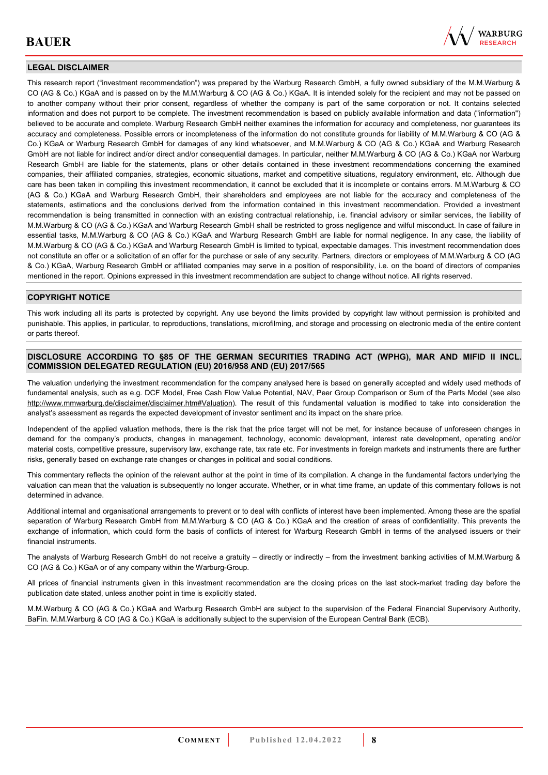

#### **LEGAL DISCLAIMER**

This research report ("investment recommendation") was prepared by the Warburg Research GmbH, a fully owned subsidiary of the M.M.Warburg & CO (AG & Co.) KGaA and is passed on by the M.M.Warburg & CO (AG & Co.) KGaA. It is intended solely for the recipient and may not be passed on to another company without their prior consent, regardless of whether the company is part of the same corporation or not. It contains selected information and does not purport to be complete. The investment recommendation is based on publicly available information and data ("information") believed to be accurate and complete. Warburg Research GmbH neither examines the information for accuracy and completeness, nor guarantees its accuracy and completeness. Possible errors or incompleteness of the information do not constitute grounds for liability of M.M.Warburg & CO (AG & Co.) KGaA or Warburg Research GmbH for damages of any kind whatsoever, and M.M.Warburg & CO (AG & Co.) KGaA and Warburg Research GmbH are not liable for indirect and/or direct and/or consequential damages. In particular, neither M.M.Warburg & CO (AG & Co.) KGaA nor Warburg Research GmbH are liable for the statements, plans or other details contained in these investment recommendations concerning the examined companies, their affiliated companies, strategies, economic situations, market and competitive situations, regulatory environment, etc. Although due care has been taken in compiling this investment recommendation, it cannot be excluded that it is incomplete or contains errors. M.M.Warburg & CO (AG & Co.) KGaA and Warburg Research GmbH, their shareholders and employees are not liable for the accuracy and completeness of the statements, estimations and the conclusions derived from the information contained in this investment recommendation. Provided a investment recommendation is being transmitted in connection with an existing contractual relationship, i.e. financial advisory or similar services, the liability of M.M.Warburg & CO (AG & Co.) KGaA and Warburg Research GmbH shall be restricted to gross negligence and wilful misconduct. In case of failure in essential tasks, M.M.Warburg & CO (AG & Co.) KGaA and Warburg Research GmbH are liable for normal negligence. In any case, the liability of M.M.Warburg & CO (AG & Co.) KGaA and Warburg Research GmbH is limited to typical, expectable damages. This investment recommendation does not constitute an offer or a solicitation of an offer for the purchase or sale of any security. Partners, directors or employees of M.M.Warburg & CO (AG & Co.) KGaA, Warburg Research GmbH or affiliated companies may serve in a position of responsibility, i.e. on the board of directors of companies mentioned in the report. Opinions expressed in this investment recommendation are subject to change without notice. All rights reserved.

#### **COPYRIGHT NOTICE**

This work including all its parts is protected by copyright. Any use beyond the limits provided by copyright law without permission is prohibited and punishable. This applies, in particular, to reproductions, translations, microfilming, and storage and processing on electronic media of the entire content or parts thereof.

#### **DISCLOSURE ACCORDING TO §85 OF THE GERMAN SECURITIES TRADING ACT (WPHG), MAR AND MIFID II INCL. COMMISSION DELEGATED REGULATION (EU) 2016/958 AND (EU) 2017/565**

The valuation underlying the investment recommendation for the company analysed here is based on generally accepted and widely used methods of fundamental analysis, such as e.g. DCF Model, Free Cash Flow Value Potential, NAV, Peer Group Comparison or Sum of the Parts Model (see also [http://www.mmwarburg.de/disclaimer/disclaimer.htm#Valuation\)](http://www.mmwarburg.de/disclaimer/disclaimer.htm#Valuation). The result of this fundamental valuation is modified to take into consideration the analyst's assessment as regards the expected development of investor sentiment and its impact on the share price.

Independent of the applied valuation methods, there is the risk that the price target will not be met, for instance because of unforeseen changes in demand for the company's products, changes in management, technology, economic development, interest rate development, operating and/or material costs, competitive pressure, supervisory law, exchange rate, tax rate etc. For investments in foreign markets and instruments there are further risks, generally based on exchange rate changes or changes in political and social conditions.

This commentary reflects the opinion of the relevant author at the point in time of its compilation. A change in the fundamental factors underlying the valuation can mean that the valuation is subsequently no longer accurate. Whether, or in what time frame, an update of this commentary follows is not determined in advance.

Additional internal and organisational arrangements to prevent or to deal with conflicts of interest have been implemented. Among these are the spatial separation of Warburg Research GmbH from M.M.Warburg & CO (AG & Co.) KGaA and the creation of areas of confidentiality. This prevents the exchange of information, which could form the basis of conflicts of interest for Warburg Research GmbH in terms of the analysed issuers or their financial instruments.

The analysts of Warburg Research GmbH do not receive a gratuity – directly or indirectly – from the investment banking activities of M.M.Warburg & CO (AG & Co.) KGaA or of any company within the Warburg-Group.

All prices of financial instruments given in this investment recommendation are the closing prices on the last stock-market trading day before the publication date stated, unless another point in time is explicitly stated.

M.M.Warburg & CO (AG & Co.) KGaA and Warburg Research GmbH are subject to the supervision of the Federal Financial Supervisory Authority, BaFin. M.M.Warburg & CO (AG & Co.) KGaA is additionally subject to the supervision of the European Central Bank (ECB).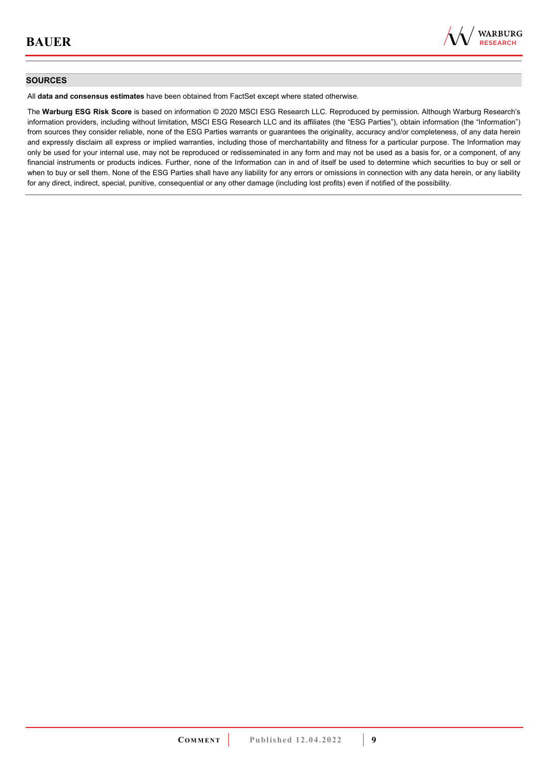

#### **SOURCES**

All **data and consensus estimates** have been obtained from FactSet except where stated otherwise.

The **Warburg ESG Risk Score** is based on information © 2020 MSCI ESG Research LLC. Reproduced by permission. Although Warburg Research's information providers, including without limitation, MSCI ESG Research LLC and its affiliates (the "ESG Parties"), obtain information (the "Information") from sources they consider reliable, none of the ESG Parties warrants or guarantees the originality, accuracy and/or completeness, of any data herein and expressly disclaim all express or implied warranties, including those of merchantability and fitness for a particular purpose. The Information may only be used for your internal use, may not be reproduced or redisseminated in any form and may not be used as a basis for, or a component, of any financial instruments or products indices. Further, none of the Information can in and of itself be used to determine which securities to buy or sell or when to buy or sell them. None of the ESG Parties shall have any liability for any errors or omissions in connection with any data herein, or any liability for any direct, indirect, special, punitive, consequential or any other damage (including lost profits) even if notified of the possibility.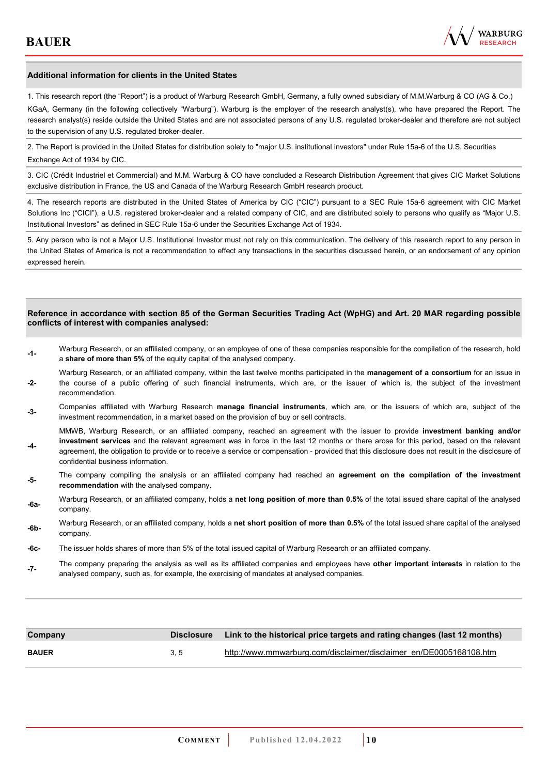

#### **Additional information for clients in the United States**

1. This research report (the "Report") is a product of Warburg Research GmbH, Germany, a fully owned subsidiary of M.M.Warburg & CO (AG & Co.)

KGaA, Germany (in the following collectively "Warburg"). Warburg is the employer of the research analyst(s), who have prepared the Report. The research analyst(s) reside outside the United States and are not associated persons of any U.S. regulated broker-dealer and therefore are not subject to the supervision of any U.S. regulated broker-dealer.

2. The Report is provided in the United States for distribution solely to "major U.S. institutional investors" under Rule 15a-6 of the U.S. Securities Exchange Act of 1934 by CIC.

3. CIC (Crédit Industriel et Commercial) and M.M. Warburg & CO have concluded a Research Distribution Agreement that gives CIC Market Solutions exclusive distribution in France, the US and Canada of the Warburg Research GmbH research product.

4. The research reports are distributed in the United States of America by CIC ("CIC") pursuant to a SEC Rule 15a-6 agreement with CIC Market Solutions Inc ("CICI"), a U.S. registered broker-dealer and a related company of CIC, and are distributed solely to persons who qualify as "Major U.S. Institutional Investors" as defined in SEC Rule 15a-6 under the Securities Exchange Act of 1934.

5. Any person who is not a Major U.S. Institutional Investor must not rely on this communication. The delivery of this research report to any person in the United States of America is not a recommendation to effect any transactions in the securities discussed herein, or an endorsement of any opinion expressed herein.

#### **Reference in accordance with section 85 of the German Securities Trading Act (WpHG) and Art. 20 MAR regarding possible conflicts of interest with companies analysed:**

- **-1-** Warburg Research, or an affiliated company, or an employee of one of these companies responsible for the compilation of the research, hold a **share of more than 5%** of the equity capital of the analysed company.
- **-2-**  Warburg Research, or an affiliated company, within the last twelve months participated in the **management of a consortium** for an issue in the course of a public offering of such financial instruments, which are, or the issuer of which is, the subject of the investment recommendation.
- **-3-** Companies affiliated with Warburg Research **manage financial instruments**, which are, or the issuers of which are, subject of the investment recommendation, in a market based on the provision of buy or sell contracts.

MMWB, Warburg Research, or an affiliated company, reached an agreement with the issuer to provide **investment banking and/or investment services** and the relevant agreement was in force in the last 12 months or there arose for this period, based on the relevant

- **-4**  agreement, the obligation to provide or to receive a service or compensation - provided that this disclosure does not result in the disclosure of confidential business information.
- **-5-** The company compiling the analysis or an affiliated company had reached an **agreement on the compilation of the investment recommendation** with the analysed company.
- **-6a-** Warburg Research, or an affiliated company, holds a **net long position of more than 0.5%** of the total issued share capital of the analysed company.
- **-6b-** Warburg Research, or an affiliated company, holds a **net short position of more than 0.5%** of the total issued share capital of the analysed company.
- **-6c-** The issuer holds shares of more than 5% of the total issued capital of Warburg Research or an affiliated company.
- **-7-** The company preparing the analysis as well as its affiliated companies and employees have **other important interests** in relation to the analysed company, such as, for example, the exercising of mandates at analysed companies.

| Company      | <b>Disclosure</b> | Link to the historical price targets and rating changes (last 12 months) |
|--------------|-------------------|--------------------------------------------------------------------------|
| <b>BAUER</b> | 3.5               | http://www.mmwarburg.com/disclaimer/disclaimer_en/DE0005168108.htm       |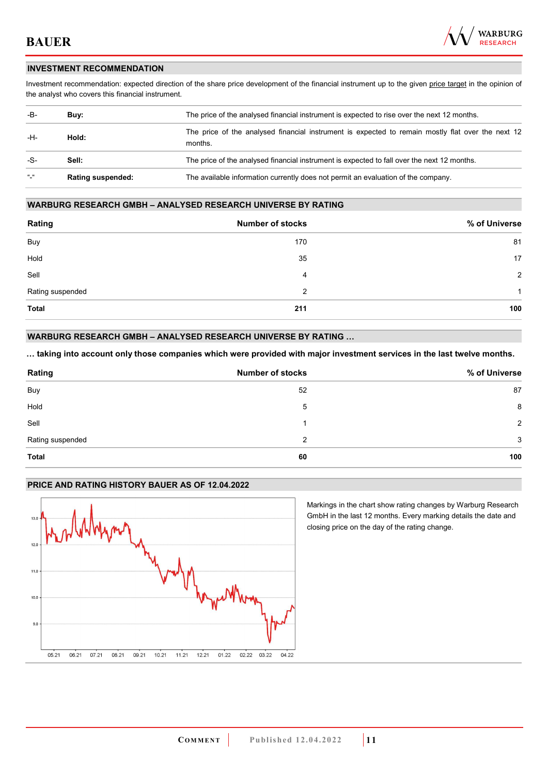

#### **INVESTMENT RECOMMENDATION**

Investment recommendation: expected direction of the share price development of the financial instrument up to the given price target in the opinion of the analyst who covers this financial instrument.

| -B-                     | Buy:                     | The price of the analysed financial instrument is expected to rise over the next 12 months.       |  |
|-------------------------|--------------------------|---------------------------------------------------------------------------------------------------|--|
| -H-<br>Hold:<br>months. |                          | The price of the analysed financial instrument is expected to remain mostly flat over the next 12 |  |
| -S-                     | Sell:                    | The price of the analysed financial instrument is expected to fall over the next 12 months.       |  |
| $\frac{1}{2}$           | <b>Rating suspended:</b> | The available information currently does not permit an evaluation of the company.                 |  |

#### **WARBURG RESEARCH GMBH – ANALYSED RESEARCH UNIVERSE BY RATING**

| Rating           | <b>Number of stocks</b> | % of Universe  |
|------------------|-------------------------|----------------|
| Buy              | 170                     | 81             |
| Hold             | 35                      | 17             |
| Sell             | 4                       | $\overline{2}$ |
| Rating suspended | 2                       | 1              |
| <b>Total</b>     | 211                     | 100            |

#### **WARBURG RESEARCH GMBH – ANALYSED RESEARCH UNIVERSE BY RATING …**

**… taking into account only those companies which were provided with major investment services in the last twelve months.** 

| Rating           | <b>Number of stocks</b> | % of Universe |
|------------------|-------------------------|---------------|
| Buy              | 52                      | 87            |
| Hold             | 5                       | 8             |
| Sell             |                         | $\mathcal{P}$ |
| Rating suspended | 2                       | 3             |
| <b>Total</b>     | 60                      | 100           |

#### **PRICE AND RATING HISTORY BAUER AS OF 12.04.2022**



Markings in the chart show rating changes by Warburg Research GmbH in the last 12 months. Every marking details the date and closing price on the day of the rating change.